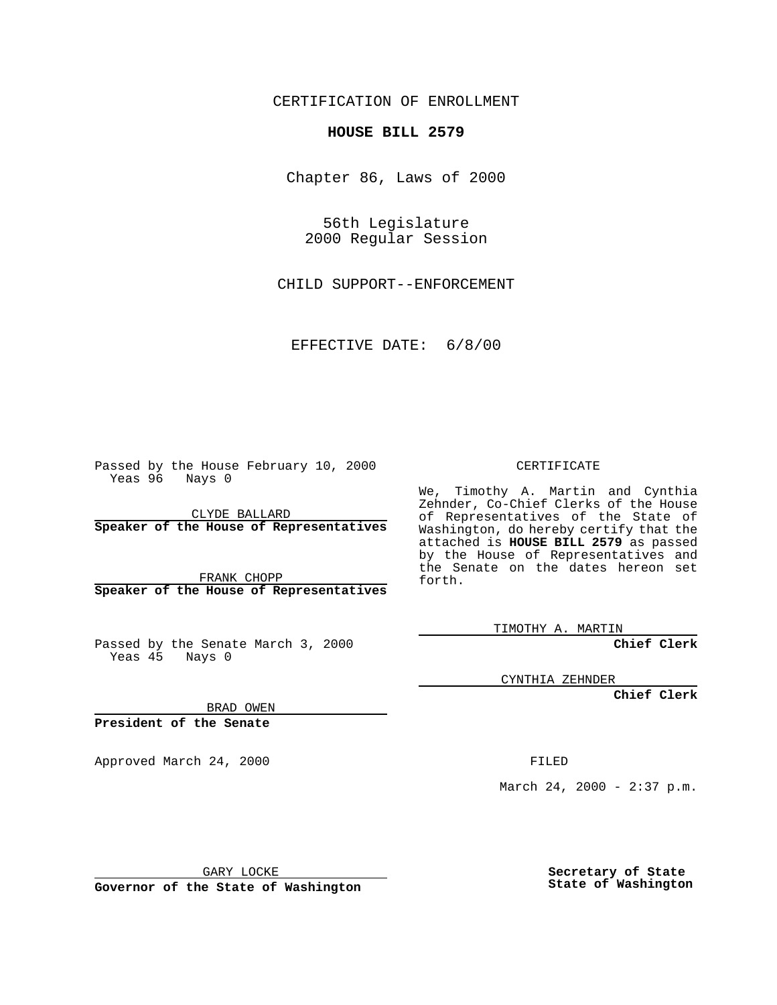CERTIFICATION OF ENROLLMENT

## **HOUSE BILL 2579**

Chapter 86, Laws of 2000

56th Legislature 2000 Regular Session

CHILD SUPPORT--ENFORCEMENT

EFFECTIVE DATE: 6/8/00

Passed by the House February 10, 2000 Yeas 96 Nays 0

CLYDE BALLARD **Speaker of the House of Representatives**

FRANK CHOPP **Speaker of the House of Representatives**

Passed by the Senate March 3, 2000 Yeas 45 Nays 0

CERTIFICATE

We, Timothy A. Martin and Cynthia Zehnder, Co-Chief Clerks of the House of Representatives of the State of Washington, do hereby certify that the attached is **HOUSE BILL 2579** as passed by the House of Representatives and the Senate on the dates hereon set forth.

TIMOTHY A. MARTIN

**Chief Clerk**

CYNTHIA ZEHNDER

**Chief Clerk**

BRAD OWEN

**President of the Senate**

Approved March 24, 2000 FILED

March 24, 2000 - 2:37 p.m.

GARY LOCKE

**Governor of the State of Washington**

**Secretary of State State of Washington**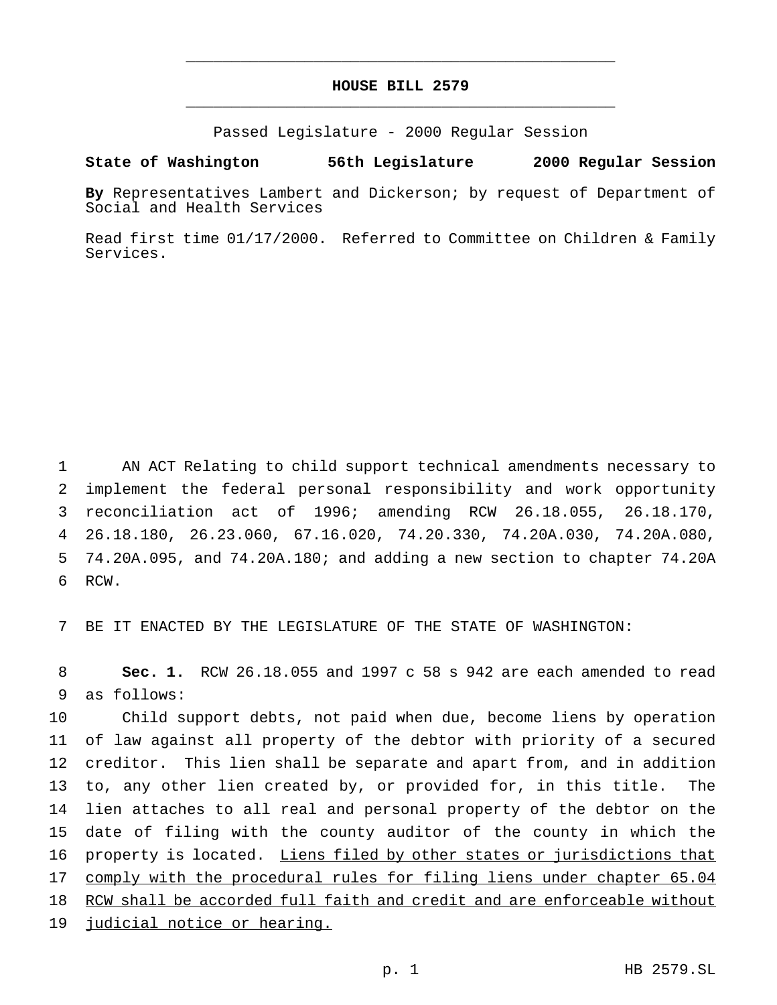## **HOUSE BILL 2579** \_\_\_\_\_\_\_\_\_\_\_\_\_\_\_\_\_\_\_\_\_\_\_\_\_\_\_\_\_\_\_\_\_\_\_\_\_\_\_\_\_\_\_\_\_\_\_

\_\_\_\_\_\_\_\_\_\_\_\_\_\_\_\_\_\_\_\_\_\_\_\_\_\_\_\_\_\_\_\_\_\_\_\_\_\_\_\_\_\_\_\_\_\_\_

Passed Legislature - 2000 Regular Session

## **State of Washington 56th Legislature 2000 Regular Session**

**By** Representatives Lambert and Dickerson; by request of Department of Social and Health Services

Read first time 01/17/2000. Referred to Committee on Children & Family Services.

 AN ACT Relating to child support technical amendments necessary to implement the federal personal responsibility and work opportunity reconciliation act of 1996; amending RCW 26.18.055, 26.18.170, 26.18.180, 26.23.060, 67.16.020, 74.20.330, 74.20A.030, 74.20A.080, 74.20A.095, and 74.20A.180; and adding a new section to chapter 74.20A 6 RCW.

7 BE IT ENACTED BY THE LEGISLATURE OF THE STATE OF WASHINGTON:

8 **Sec. 1.** RCW 26.18.055 and 1997 c 58 s 942 are each amended to read 9 as follows:

 Child support debts, not paid when due, become liens by operation of law against all property of the debtor with priority of a secured creditor. This lien shall be separate and apart from, and in addition to, any other lien created by, or provided for, in this title. The lien attaches to all real and personal property of the debtor on the date of filing with the county auditor of the county in which the 16 property is located. Liens filed by other states or jurisdictions that 17 comply with the procedural rules for filing liens under chapter 65.04 RCW shall be accorded full faith and credit and are enforceable without judicial notice or hearing.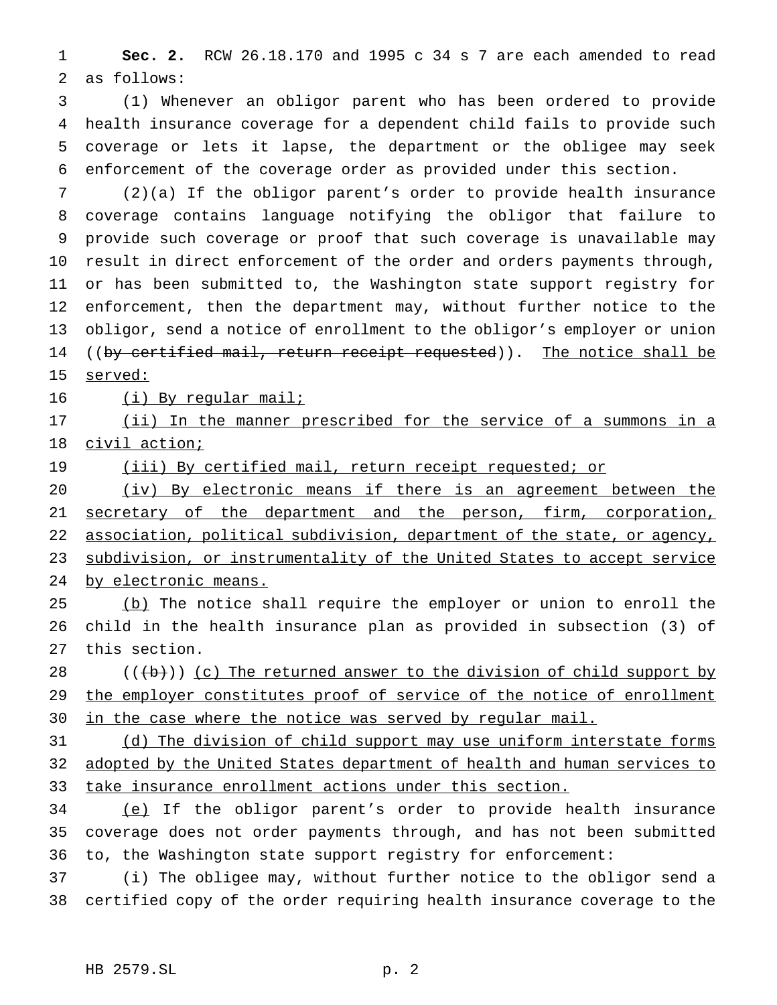**Sec. 2.** RCW 26.18.170 and 1995 c 34 s 7 are each amended to read as follows:

 (1) Whenever an obligor parent who has been ordered to provide health insurance coverage for a dependent child fails to provide such coverage or lets it lapse, the department or the obligee may seek enforcement of the coverage order as provided under this section.

 (2)(a) If the obligor parent's order to provide health insurance coverage contains language notifying the obligor that failure to provide such coverage or proof that such coverage is unavailable may result in direct enforcement of the order and orders payments through, or has been submitted to, the Washington state support registry for enforcement, then the department may, without further notice to the obligor, send a notice of enrollment to the obligor's employer or union 14 ((by certified mail, return receipt requested)). The notice shall be served:

16 (i) By regular mail;

17 (ii) In the manner prescribed for the service of a summons in a civil action;

19 (iii) By certified mail, return receipt requested; or

20 (iv) By electronic means if there is an agreement between the 21 secretary of the department and the person, firm, corporation, 22 association, political subdivision, department of the state, or agency, 23 subdivision, or instrumentality of the United States to accept service by electronic means.

25 (b) The notice shall require the employer or union to enroll the child in the health insurance plan as provided in subsection (3) of this section.

 $((+b))$  (c) The returned answer to the division of child support by 29 the employer constitutes proof of service of the notice of enrollment 30 in the case where the notice was served by regular mail.

31 (d) The division of child support may use uniform interstate forms adopted by the United States department of health and human services to take insurance enrollment actions under this section.

 (e) If the obligor parent's order to provide health insurance coverage does not order payments through, and has not been submitted to, the Washington state support registry for enforcement:

 (i) The obligee may, without further notice to the obligor send a certified copy of the order requiring health insurance coverage to the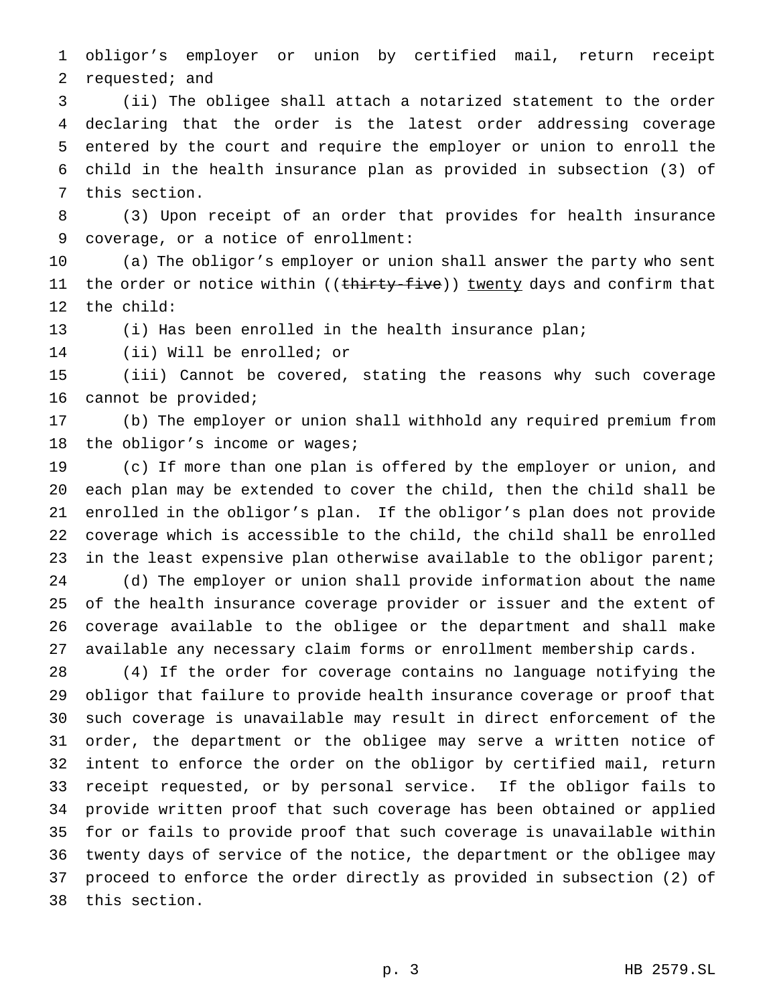obligor's employer or union by certified mail, return receipt requested; and

 (ii) The obligee shall attach a notarized statement to the order declaring that the order is the latest order addressing coverage entered by the court and require the employer or union to enroll the child in the health insurance plan as provided in subsection (3) of this section.

 (3) Upon receipt of an order that provides for health insurance coverage, or a notice of enrollment:

 (a) The obligor's employer or union shall answer the party who sent 11 the order or notice within ((thirty-five)) twenty days and confirm that the child:

(i) Has been enrolled in the health insurance plan;

(ii) Will be enrolled; or

 (iii) Cannot be covered, stating the reasons why such coverage cannot be provided;

 (b) The employer or union shall withhold any required premium from 18 the obligor's income or wages;

 (c) If more than one plan is offered by the employer or union, and each plan may be extended to cover the child, then the child shall be enrolled in the obligor's plan. If the obligor's plan does not provide coverage which is accessible to the child, the child shall be enrolled 23 in the least expensive plan otherwise available to the obligor parent; (d) The employer or union shall provide information about the name of the health insurance coverage provider or issuer and the extent of coverage available to the obligee or the department and shall make available any necessary claim forms or enrollment membership cards.

 (4) If the order for coverage contains no language notifying the obligor that failure to provide health insurance coverage or proof that such coverage is unavailable may result in direct enforcement of the order, the department or the obligee may serve a written notice of intent to enforce the order on the obligor by certified mail, return receipt requested, or by personal service. If the obligor fails to provide written proof that such coverage has been obtained or applied for or fails to provide proof that such coverage is unavailable within twenty days of service of the notice, the department or the obligee may proceed to enforce the order directly as provided in subsection (2) of this section.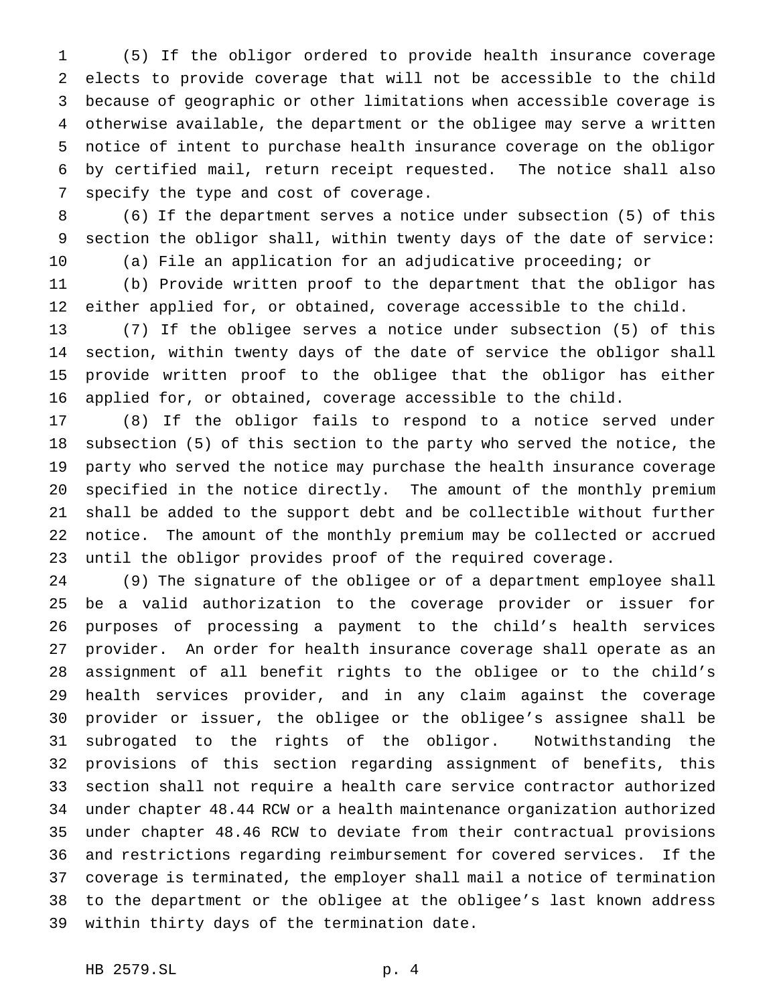(5) If the obligor ordered to provide health insurance coverage elects to provide coverage that will not be accessible to the child because of geographic or other limitations when accessible coverage is otherwise available, the department or the obligee may serve a written notice of intent to purchase health insurance coverage on the obligor by certified mail, return receipt requested. The notice shall also specify the type and cost of coverage.

 (6) If the department serves a notice under subsection (5) of this section the obligor shall, within twenty days of the date of service: (a) File an application for an adjudicative proceeding; or

 (b) Provide written proof to the department that the obligor has either applied for, or obtained, coverage accessible to the child.

 (7) If the obligee serves a notice under subsection (5) of this section, within twenty days of the date of service the obligor shall provide written proof to the obligee that the obligor has either applied for, or obtained, coverage accessible to the child.

 (8) If the obligor fails to respond to a notice served under subsection (5) of this section to the party who served the notice, the party who served the notice may purchase the health insurance coverage specified in the notice directly. The amount of the monthly premium shall be added to the support debt and be collectible without further notice. The amount of the monthly premium may be collected or accrued until the obligor provides proof of the required coverage.

 (9) The signature of the obligee or of a department employee shall be a valid authorization to the coverage provider or issuer for purposes of processing a payment to the child's health services provider. An order for health insurance coverage shall operate as an assignment of all benefit rights to the obligee or to the child's health services provider, and in any claim against the coverage provider or issuer, the obligee or the obligee's assignee shall be subrogated to the rights of the obligor. Notwithstanding the provisions of this section regarding assignment of benefits, this section shall not require a health care service contractor authorized under chapter 48.44 RCW or a health maintenance organization authorized under chapter 48.46 RCW to deviate from their contractual provisions and restrictions regarding reimbursement for covered services. If the coverage is terminated, the employer shall mail a notice of termination to the department or the obligee at the obligee's last known address within thirty days of the termination date.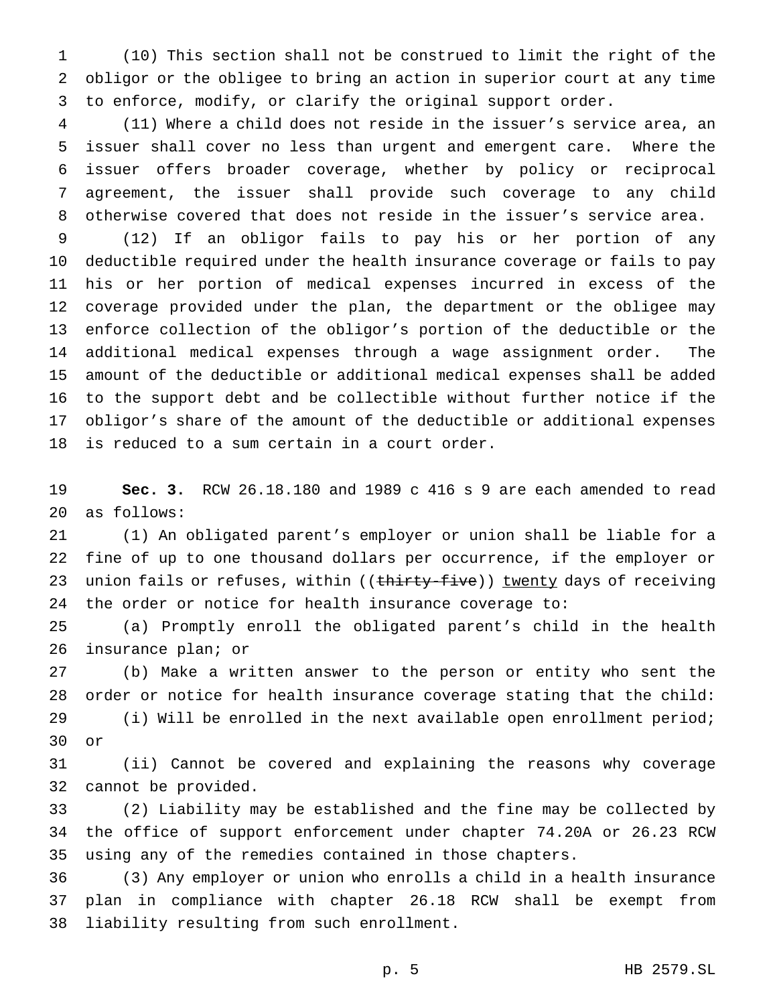(10) This section shall not be construed to limit the right of the obligor or the obligee to bring an action in superior court at any time to enforce, modify, or clarify the original support order.

 (11) Where a child does not reside in the issuer's service area, an issuer shall cover no less than urgent and emergent care. Where the issuer offers broader coverage, whether by policy or reciprocal agreement, the issuer shall provide such coverage to any child otherwise covered that does not reside in the issuer's service area.

 (12) If an obligor fails to pay his or her portion of any deductible required under the health insurance coverage or fails to pay his or her portion of medical expenses incurred in excess of the coverage provided under the plan, the department or the obligee may enforce collection of the obligor's portion of the deductible or the additional medical expenses through a wage assignment order. The amount of the deductible or additional medical expenses shall be added to the support debt and be collectible without further notice if the obligor's share of the amount of the deductible or additional expenses is reduced to a sum certain in a court order.

 **Sec. 3.** RCW 26.18.180 and 1989 c 416 s 9 are each amended to read as follows:

 (1) An obligated parent's employer or union shall be liable for a fine of up to one thousand dollars per occurrence, if the employer or 23 union fails or refuses, within ((thirty-five)) twenty days of receiving the order or notice for health insurance coverage to:

 (a) Promptly enroll the obligated parent's child in the health insurance plan; or

 (b) Make a written answer to the person or entity who sent the order or notice for health insurance coverage stating that the child: (i) Will be enrolled in the next available open enrollment period; or

 (ii) Cannot be covered and explaining the reasons why coverage cannot be provided.

 (2) Liability may be established and the fine may be collected by the office of support enforcement under chapter 74.20A or 26.23 RCW using any of the remedies contained in those chapters.

 (3) Any employer or union who enrolls a child in a health insurance plan in compliance with chapter 26.18 RCW shall be exempt from liability resulting from such enrollment.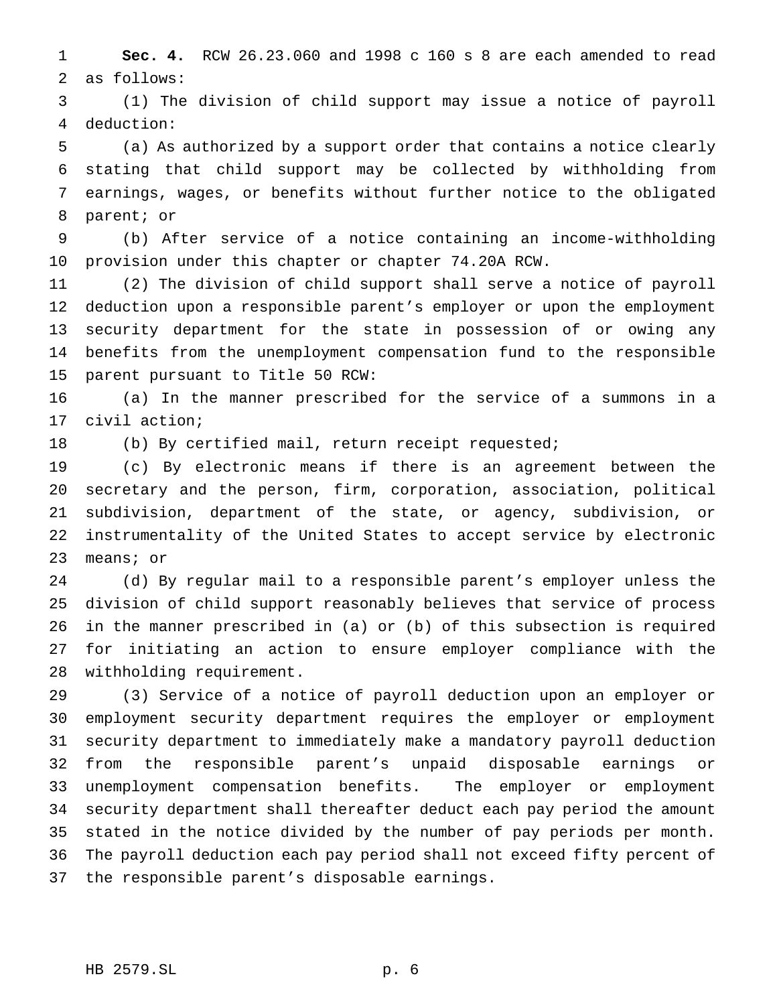**Sec. 4.** RCW 26.23.060 and 1998 c 160 s 8 are each amended to read as follows:

 (1) The division of child support may issue a notice of payroll deduction:

 (a) As authorized by a support order that contains a notice clearly stating that child support may be collected by withholding from earnings, wages, or benefits without further notice to the obligated parent; or

 (b) After service of a notice containing an income-withholding provision under this chapter or chapter 74.20A RCW.

 (2) The division of child support shall serve a notice of payroll deduction upon a responsible parent's employer or upon the employment security department for the state in possession of or owing any benefits from the unemployment compensation fund to the responsible parent pursuant to Title 50 RCW:

 (a) In the manner prescribed for the service of a summons in a civil action;

(b) By certified mail, return receipt requested;

 (c) By electronic means if there is an agreement between the secretary and the person, firm, corporation, association, political subdivision, department of the state, or agency, subdivision, or instrumentality of the United States to accept service by electronic means; or

 (d) By regular mail to a responsible parent's employer unless the division of child support reasonably believes that service of process in the manner prescribed in (a) or (b) of this subsection is required for initiating an action to ensure employer compliance with the withholding requirement.

 (3) Service of a notice of payroll deduction upon an employer or employment security department requires the employer or employment security department to immediately make a mandatory payroll deduction from the responsible parent's unpaid disposable earnings or unemployment compensation benefits. The employer or employment security department shall thereafter deduct each pay period the amount stated in the notice divided by the number of pay periods per month. The payroll deduction each pay period shall not exceed fifty percent of the responsible parent's disposable earnings.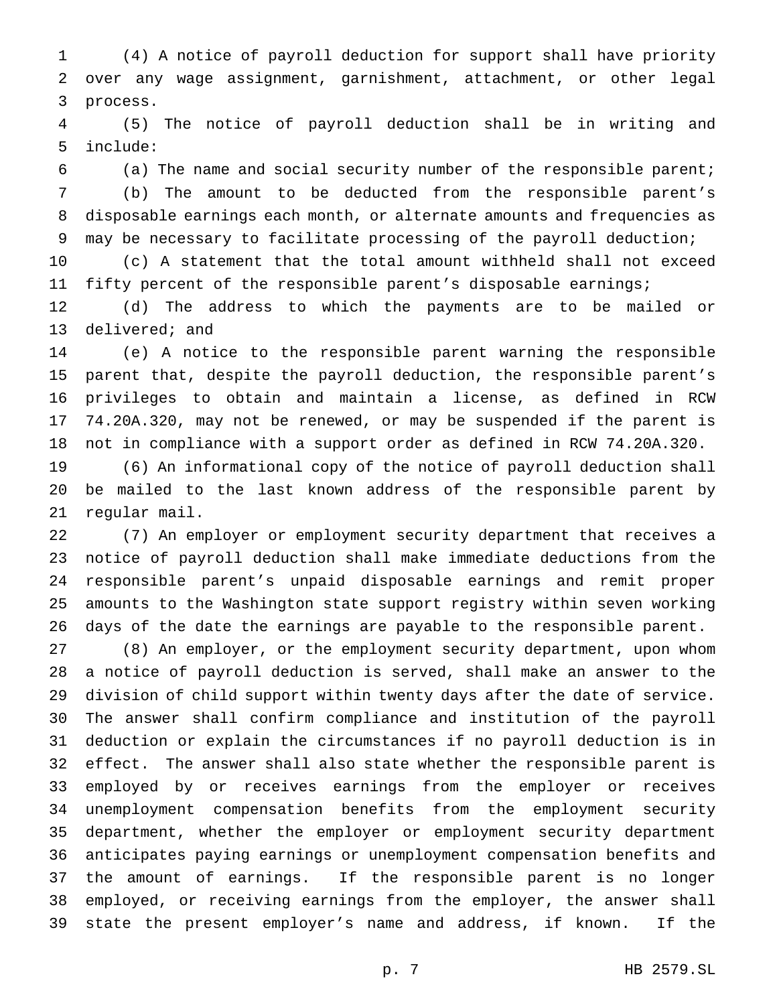(4) A notice of payroll deduction for support shall have priority over any wage assignment, garnishment, attachment, or other legal process.

 (5) The notice of payroll deduction shall be in writing and include:

 (a) The name and social security number of the responsible parent; (b) The amount to be deducted from the responsible parent's disposable earnings each month, or alternate amounts and frequencies as may be necessary to facilitate processing of the payroll deduction;

 (c) A statement that the total amount withheld shall not exceed fifty percent of the responsible parent's disposable earnings;

 (d) The address to which the payments are to be mailed or delivered; and

 (e) A notice to the responsible parent warning the responsible parent that, despite the payroll deduction, the responsible parent's privileges to obtain and maintain a license, as defined in RCW 74.20A.320, may not be renewed, or may be suspended if the parent is not in compliance with a support order as defined in RCW 74.20A.320.

 (6) An informational copy of the notice of payroll deduction shall be mailed to the last known address of the responsible parent by regular mail.

 (7) An employer or employment security department that receives a notice of payroll deduction shall make immediate deductions from the responsible parent's unpaid disposable earnings and remit proper amounts to the Washington state support registry within seven working days of the date the earnings are payable to the responsible parent.

 (8) An employer, or the employment security department, upon whom a notice of payroll deduction is served, shall make an answer to the division of child support within twenty days after the date of service. The answer shall confirm compliance and institution of the payroll deduction or explain the circumstances if no payroll deduction is in effect. The answer shall also state whether the responsible parent is employed by or receives earnings from the employer or receives unemployment compensation benefits from the employment security department, whether the employer or employment security department anticipates paying earnings or unemployment compensation benefits and the amount of earnings. If the responsible parent is no longer employed, or receiving earnings from the employer, the answer shall state the present employer's name and address, if known. If the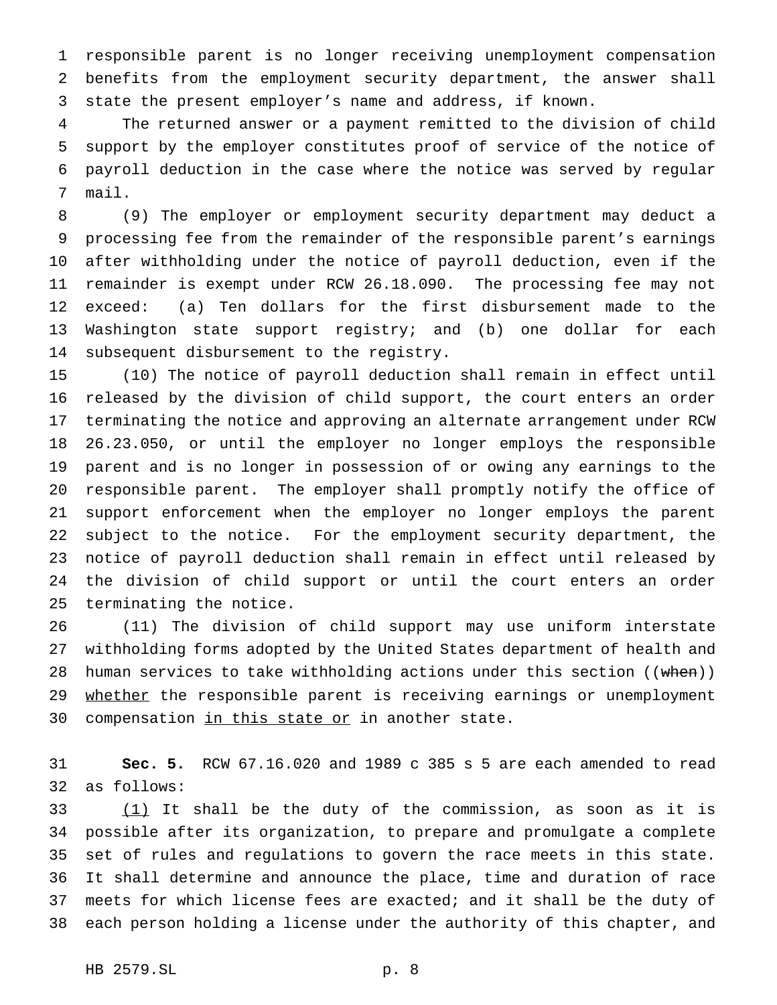responsible parent is no longer receiving unemployment compensation benefits from the employment security department, the answer shall state the present employer's name and address, if known.

 The returned answer or a payment remitted to the division of child support by the employer constitutes proof of service of the notice of payroll deduction in the case where the notice was served by regular mail.

 (9) The employer or employment security department may deduct a processing fee from the remainder of the responsible parent's earnings after withholding under the notice of payroll deduction, even if the remainder is exempt under RCW 26.18.090. The processing fee may not exceed: (a) Ten dollars for the first disbursement made to the Washington state support registry; and (b) one dollar for each subsequent disbursement to the registry.

 (10) The notice of payroll deduction shall remain in effect until released by the division of child support, the court enters an order terminating the notice and approving an alternate arrangement under RCW 26.23.050, or until the employer no longer employs the responsible parent and is no longer in possession of or owing any earnings to the responsible parent. The employer shall promptly notify the office of support enforcement when the employer no longer employs the parent subject to the notice. For the employment security department, the notice of payroll deduction shall remain in effect until released by the division of child support or until the court enters an order terminating the notice.

 (11) The division of child support may use uniform interstate withholding forms adopted by the United States department of health and 28 human services to take withholding actions under this section ((when)) 29 whether the responsible parent is receiving earnings or unemployment 30 compensation in this state or in another state.

 **Sec. 5.** RCW 67.16.020 and 1989 c 385 s 5 are each amended to read as follows:

 $(1)$  It shall be the duty of the commission, as soon as it is possible after its organization, to prepare and promulgate a complete set of rules and regulations to govern the race meets in this state. It shall determine and announce the place, time and duration of race meets for which license fees are exacted; and it shall be the duty of each person holding a license under the authority of this chapter, and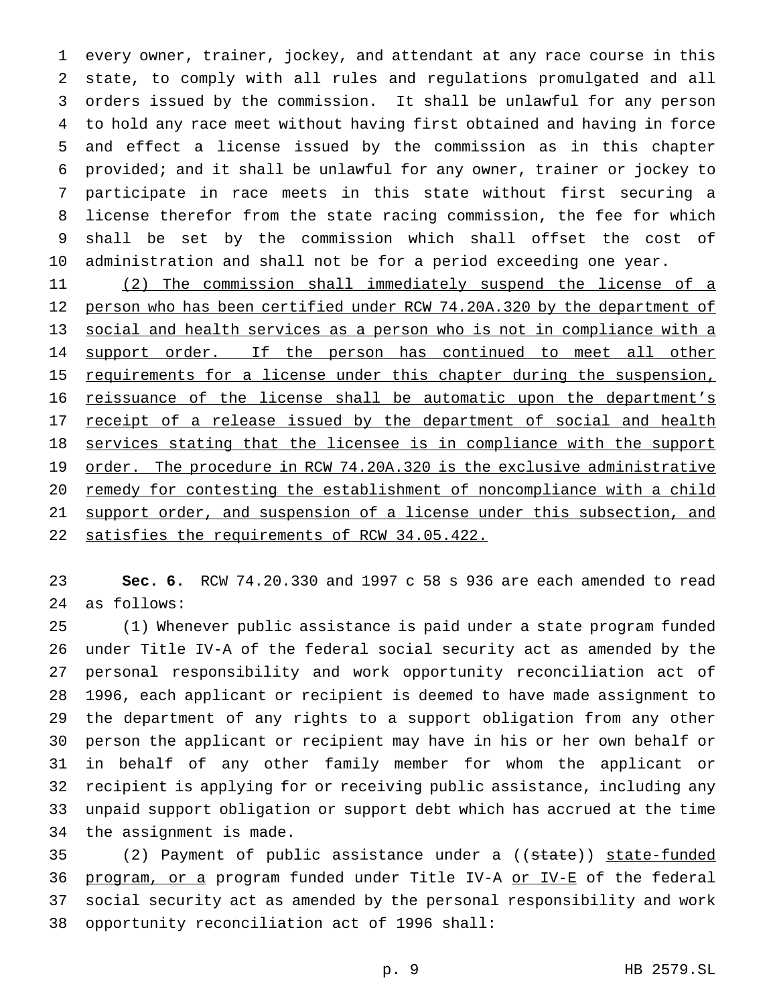every owner, trainer, jockey, and attendant at any race course in this state, to comply with all rules and regulations promulgated and all orders issued by the commission. It shall be unlawful for any person to hold any race meet without having first obtained and having in force and effect a license issued by the commission as in this chapter provided; and it shall be unlawful for any owner, trainer or jockey to participate in race meets in this state without first securing a license therefor from the state racing commission, the fee for which shall be set by the commission which shall offset the cost of administration and shall not be for a period exceeding one year.

 (2) The commission shall immediately suspend the license of a 12 person who has been certified under RCW 74.20A.320 by the department of 13 social and health services as a person who is not in compliance with a 14 support order. If the person has continued to meet all other 15 requirements for a license under this chapter during the suspension, reissuance of the license shall be automatic upon the department's 17 receipt of a release issued by the department of social and health 18 services stating that the licensee is in compliance with the support 19 order. The procedure in RCW 74.20A.320 is the exclusive administrative remedy for contesting the establishment of noncompliance with a child support order, and suspension of a license under this subsection, and satisfies the requirements of RCW 34.05.422.

 **Sec. 6.** RCW 74.20.330 and 1997 c 58 s 936 are each amended to read as follows:

 (1) Whenever public assistance is paid under a state program funded under Title IV-A of the federal social security act as amended by the personal responsibility and work opportunity reconciliation act of 1996, each applicant or recipient is deemed to have made assignment to the department of any rights to a support obligation from any other person the applicant or recipient may have in his or her own behalf or in behalf of any other family member for whom the applicant or recipient is applying for or receiving public assistance, including any unpaid support obligation or support debt which has accrued at the time the assignment is made.

35 (2) Payment of public assistance under a ((state)) state-funded 36 program, or a program funded under Title IV-A or IV-E of the federal social security act as amended by the personal responsibility and work opportunity reconciliation act of 1996 shall: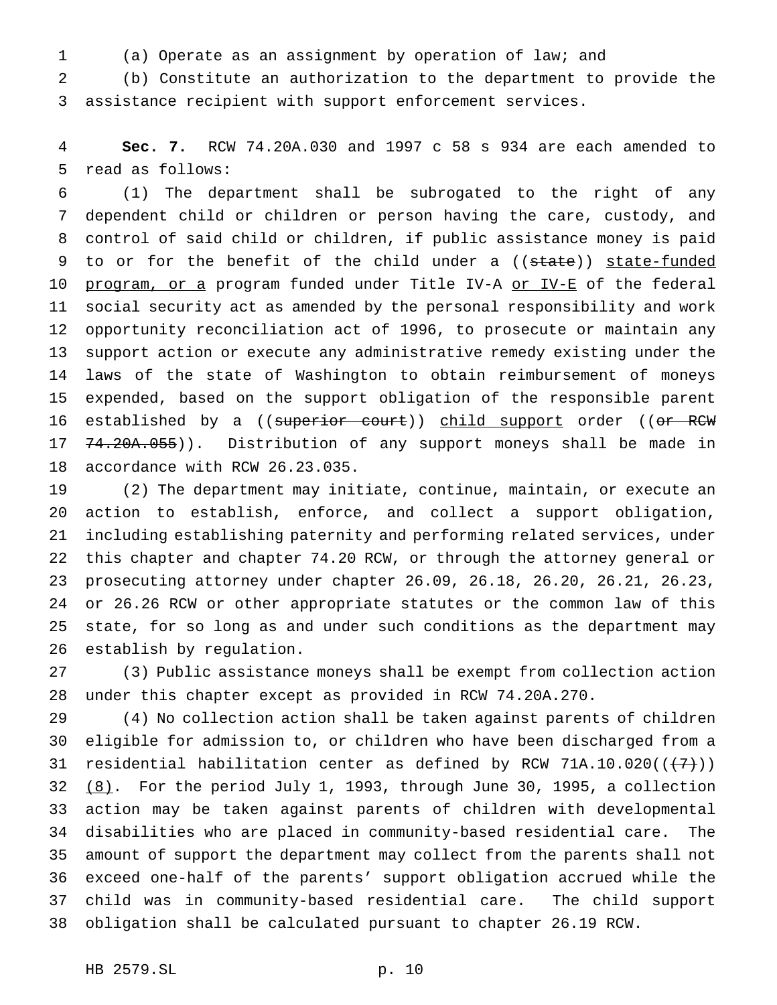(a) Operate as an assignment by operation of law; and

 (b) Constitute an authorization to the department to provide the assistance recipient with support enforcement services.

 **Sec. 7.** RCW 74.20A.030 and 1997 c 58 s 934 are each amended to read as follows:

 (1) The department shall be subrogated to the right of any dependent child or children or person having the care, custody, and control of said child or children, if public assistance money is paid 9 to or for the benefit of the child under a ((state)) state-funded 10 program, or a program funded under Title IV-A or IV-E of the federal social security act as amended by the personal responsibility and work opportunity reconciliation act of 1996, to prosecute or maintain any support action or execute any administrative remedy existing under the laws of the state of Washington to obtain reimbursement of moneys expended, based on the support obligation of the responsible parent 16 established by a ((superior court)) child support order ((or RCW 17 <del>74.20A.055</del>)). Distribution of any support moneys shall be made in accordance with RCW 26.23.035.

 (2) The department may initiate, continue, maintain, or execute an action to establish, enforce, and collect a support obligation, including establishing paternity and performing related services, under this chapter and chapter 74.20 RCW, or through the attorney general or prosecuting attorney under chapter 26.09, 26.18, 26.20, 26.21, 26.23, or 26.26 RCW or other appropriate statutes or the common law of this state, for so long as and under such conditions as the department may establish by regulation.

 (3) Public assistance moneys shall be exempt from collection action under this chapter except as provided in RCW 74.20A.270.

 (4) No collection action shall be taken against parents of children eligible for admission to, or children who have been discharged from a 31 residential habilitation center as defined by RCW 71A.10.020( $(\overline{+7})$ )  $(8)$ . For the period July 1, 1993, through June 30, 1995, a collection action may be taken against parents of children with developmental disabilities who are placed in community-based residential care. The amount of support the department may collect from the parents shall not exceed one-half of the parents' support obligation accrued while the child was in community-based residential care. The child support obligation shall be calculated pursuant to chapter 26.19 RCW.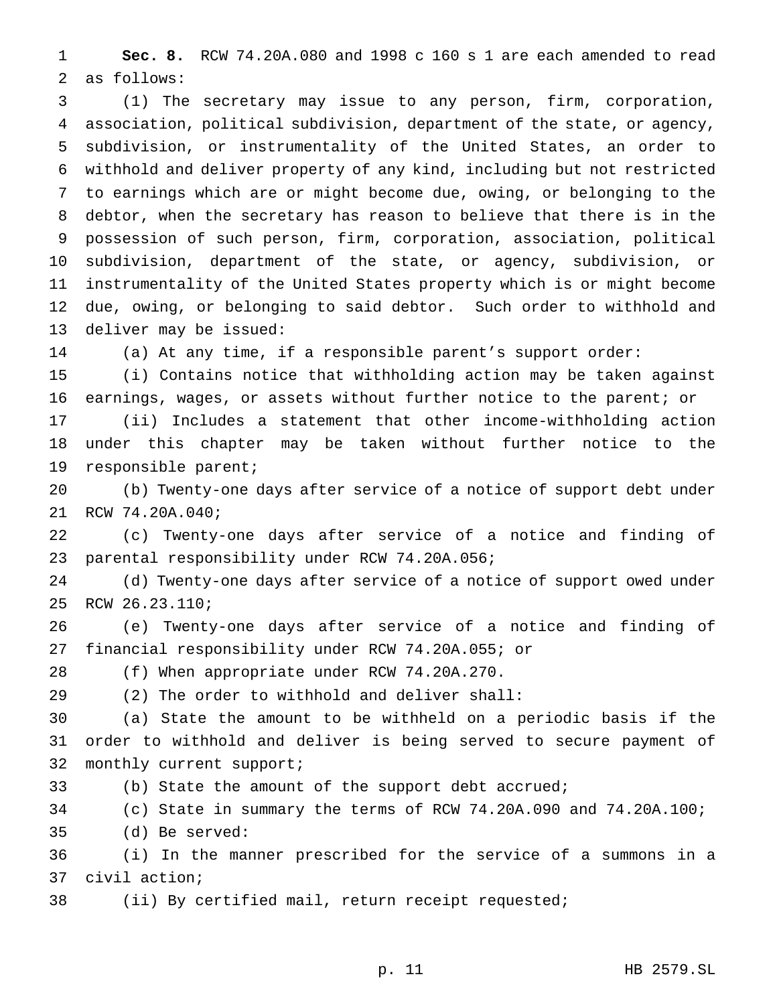**Sec. 8.** RCW 74.20A.080 and 1998 c 160 s 1 are each amended to read as follows:

 (1) The secretary may issue to any person, firm, corporation, association, political subdivision, department of the state, or agency, subdivision, or instrumentality of the United States, an order to withhold and deliver property of any kind, including but not restricted to earnings which are or might become due, owing, or belonging to the debtor, when the secretary has reason to believe that there is in the possession of such person, firm, corporation, association, political subdivision, department of the state, or agency, subdivision, or instrumentality of the United States property which is or might become due, owing, or belonging to said debtor. Such order to withhold and deliver may be issued:

(a) At any time, if a responsible parent's support order:

 (i) Contains notice that withholding action may be taken against earnings, wages, or assets without further notice to the parent; or

 (ii) Includes a statement that other income-withholding action under this chapter may be taken without further notice to the responsible parent;

 (b) Twenty-one days after service of a notice of support debt under RCW 74.20A.040;

 (c) Twenty-one days after service of a notice and finding of parental responsibility under RCW 74.20A.056;

 (d) Twenty-one days after service of a notice of support owed under RCW 26.23.110;

 (e) Twenty-one days after service of a notice and finding of financial responsibility under RCW 74.20A.055; or

(f) When appropriate under RCW 74.20A.270.

(2) The order to withhold and deliver shall:

 (a) State the amount to be withheld on a periodic basis if the order to withhold and deliver is being served to secure payment of monthly current support;

(b) State the amount of the support debt accrued;

(c) State in summary the terms of RCW 74.20A.090 and 74.20A.100;

(d) Be served:

 (i) In the manner prescribed for the service of a summons in a civil action;

(ii) By certified mail, return receipt requested;

p. 11 HB 2579.SL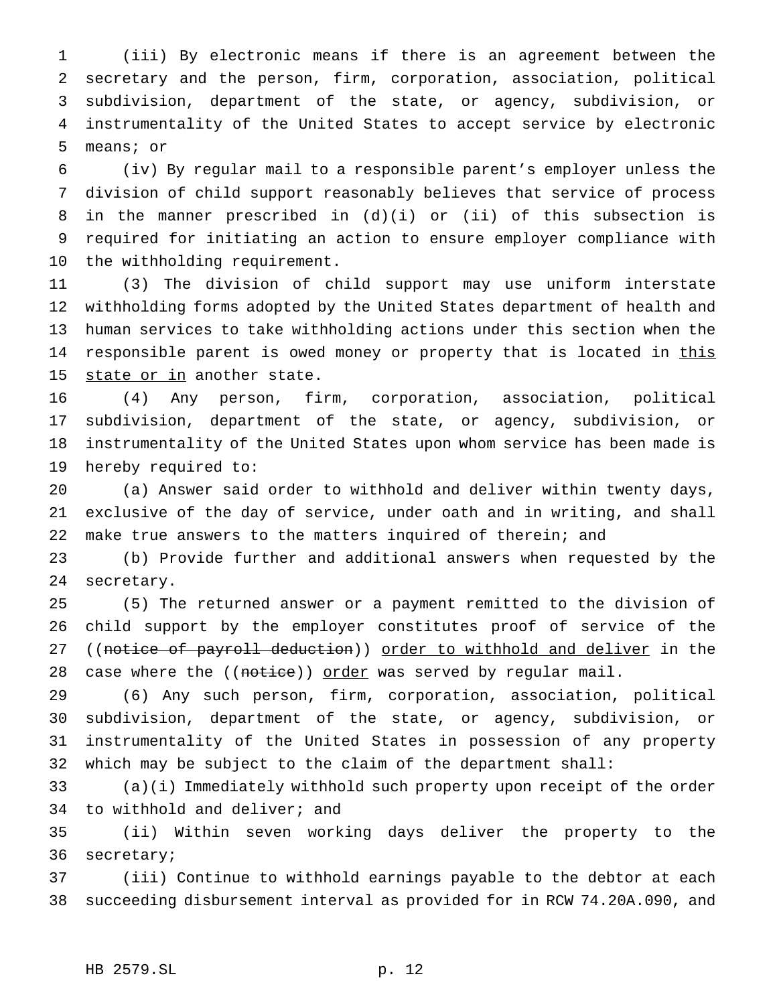(iii) By electronic means if there is an agreement between the secretary and the person, firm, corporation, association, political subdivision, department of the state, or agency, subdivision, or instrumentality of the United States to accept service by electronic means; or

 (iv) By regular mail to a responsible parent's employer unless the division of child support reasonably believes that service of process in the manner prescribed in (d)(i) or (ii) of this subsection is required for initiating an action to ensure employer compliance with the withholding requirement.

 (3) The division of child support may use uniform interstate withholding forms adopted by the United States department of health and human services to take withholding actions under this section when the 14 responsible parent is owed money or property that is located in this 15 state or in another state.

 (4) Any person, firm, corporation, association, political subdivision, department of the state, or agency, subdivision, or instrumentality of the United States upon whom service has been made is hereby required to:

 (a) Answer said order to withhold and deliver within twenty days, exclusive of the day of service, under oath and in writing, and shall make true answers to the matters inquired of therein; and

 (b) Provide further and additional answers when requested by the secretary.

 (5) The returned answer or a payment remitted to the division of child support by the employer constitutes proof of service of the 27 ((notice of payroll deduction)) order to withhold and deliver in the 28 case where the ((notice)) order was served by regular mail.

 (6) Any such person, firm, corporation, association, political subdivision, department of the state, or agency, subdivision, or instrumentality of the United States in possession of any property which may be subject to the claim of the department shall:

 (a)(i) Immediately withhold such property upon receipt of the order to withhold and deliver; and

 (ii) Within seven working days deliver the property to the secretary;

 (iii) Continue to withhold earnings payable to the debtor at each succeeding disbursement interval as provided for in RCW 74.20A.090, and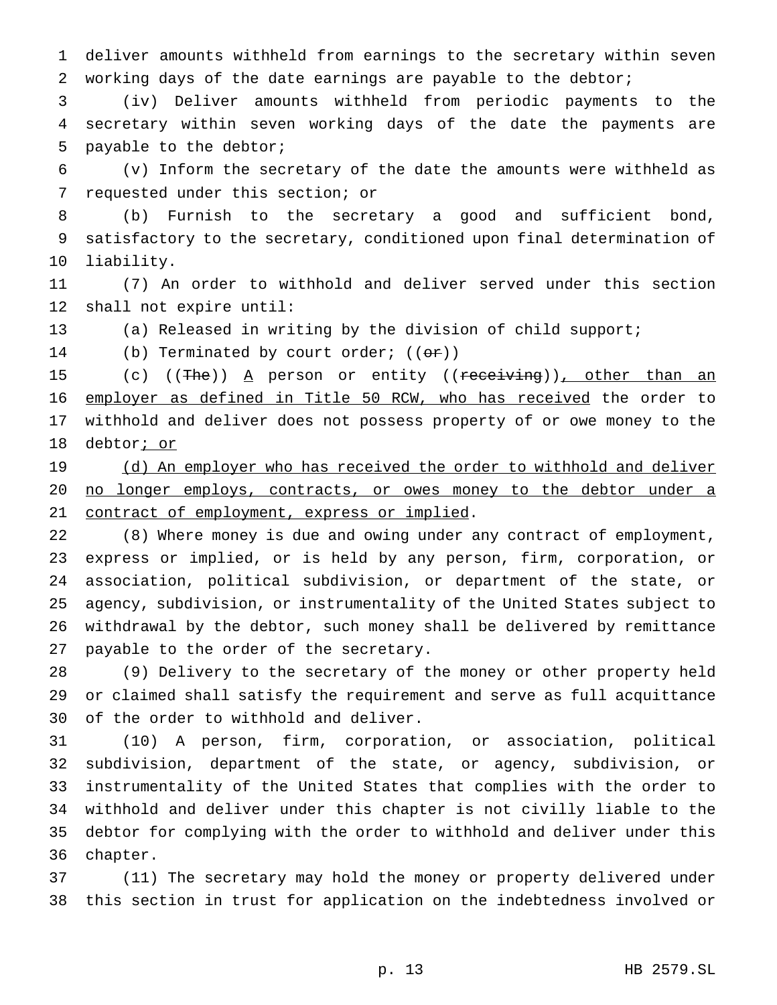deliver amounts withheld from earnings to the secretary within seven working days of the date earnings are payable to the debtor;

 (iv) Deliver amounts withheld from periodic payments to the secretary within seven working days of the date the payments are payable to the debtor;

 (v) Inform the secretary of the date the amounts were withheld as requested under this section; or

 (b) Furnish to the secretary a good and sufficient bond, satisfactory to the secretary, conditioned upon final determination of liability.

 (7) An order to withhold and deliver served under this section shall not expire until:

(a) Released in writing by the division of child support;

14 (b) Terminated by court order;  $((\theta \cdot \mathbf{r}))$ 

15 (c) ((The)) A person or entity ((receiving)), other than an employer as defined in Title 50 RCW, who has received the order to withhold and deliver does not possess property of or owe money to the 18 debtor; or

19 (d) An employer who has received the order to withhold and deliver 20 no longer employs, contracts, or owes money to the debtor under a 21 contract of employment, express or implied.

 (8) Where money is due and owing under any contract of employment, express or implied, or is held by any person, firm, corporation, or association, political subdivision, or department of the state, or agency, subdivision, or instrumentality of the United States subject to withdrawal by the debtor, such money shall be delivered by remittance payable to the order of the secretary.

 (9) Delivery to the secretary of the money or other property held or claimed shall satisfy the requirement and serve as full acquittance of the order to withhold and deliver.

 (10) A person, firm, corporation, or association, political subdivision, department of the state, or agency, subdivision, or instrumentality of the United States that complies with the order to withhold and deliver under this chapter is not civilly liable to the debtor for complying with the order to withhold and deliver under this chapter.

 (11) The secretary may hold the money or property delivered under this section in trust for application on the indebtedness involved or

p. 13 HB 2579.SL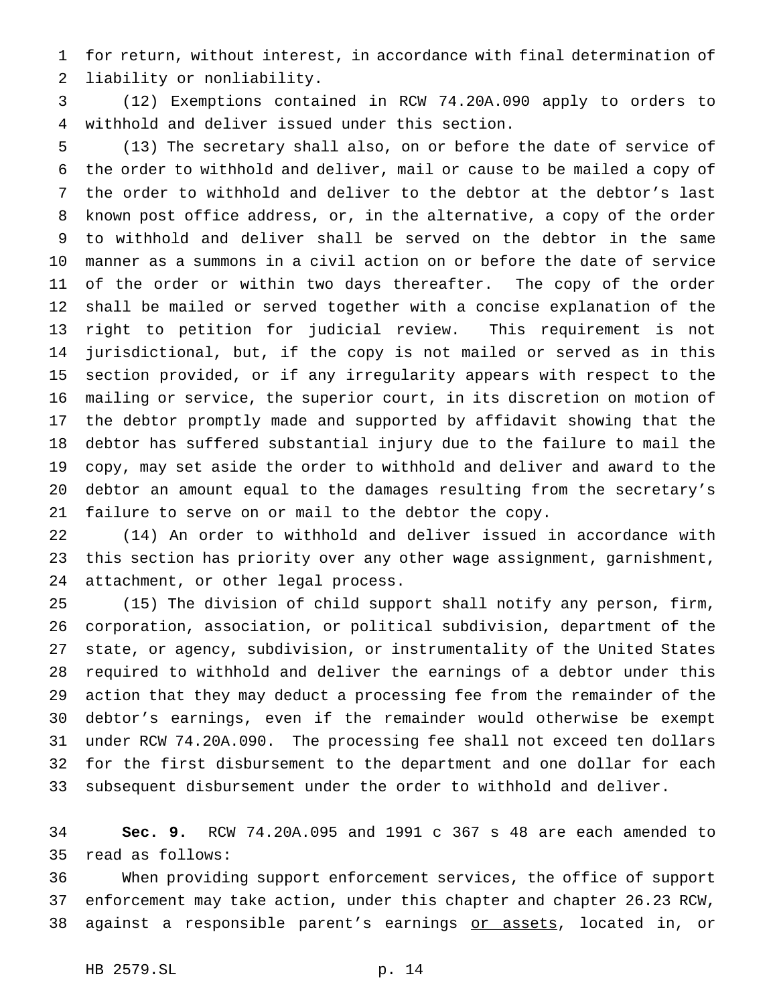for return, without interest, in accordance with final determination of liability or nonliability.

 (12) Exemptions contained in RCW 74.20A.090 apply to orders to withhold and deliver issued under this section.

 (13) The secretary shall also, on or before the date of service of the order to withhold and deliver, mail or cause to be mailed a copy of the order to withhold and deliver to the debtor at the debtor's last known post office address, or, in the alternative, a copy of the order to withhold and deliver shall be served on the debtor in the same manner as a summons in a civil action on or before the date of service 11 of the order or within two days thereafter. The copy of the order shall be mailed or served together with a concise explanation of the right to petition for judicial review. This requirement is not jurisdictional, but, if the copy is not mailed or served as in this section provided, or if any irregularity appears with respect to the mailing or service, the superior court, in its discretion on motion of the debtor promptly made and supported by affidavit showing that the debtor has suffered substantial injury due to the failure to mail the copy, may set aside the order to withhold and deliver and award to the debtor an amount equal to the damages resulting from the secretary's failure to serve on or mail to the debtor the copy.

 (14) An order to withhold and deliver issued in accordance with this section has priority over any other wage assignment, garnishment, attachment, or other legal process.

 (15) The division of child support shall notify any person, firm, corporation, association, or political subdivision, department of the state, or agency, subdivision, or instrumentality of the United States required to withhold and deliver the earnings of a debtor under this action that they may deduct a processing fee from the remainder of the debtor's earnings, even if the remainder would otherwise be exempt under RCW 74.20A.090. The processing fee shall not exceed ten dollars for the first disbursement to the department and one dollar for each subsequent disbursement under the order to withhold and deliver.

 **Sec. 9.** RCW 74.20A.095 and 1991 c 367 s 48 are each amended to read as follows:

 When providing support enforcement services, the office of support enforcement may take action, under this chapter and chapter 26.23 RCW, against a responsible parent's earnings or assets, located in, or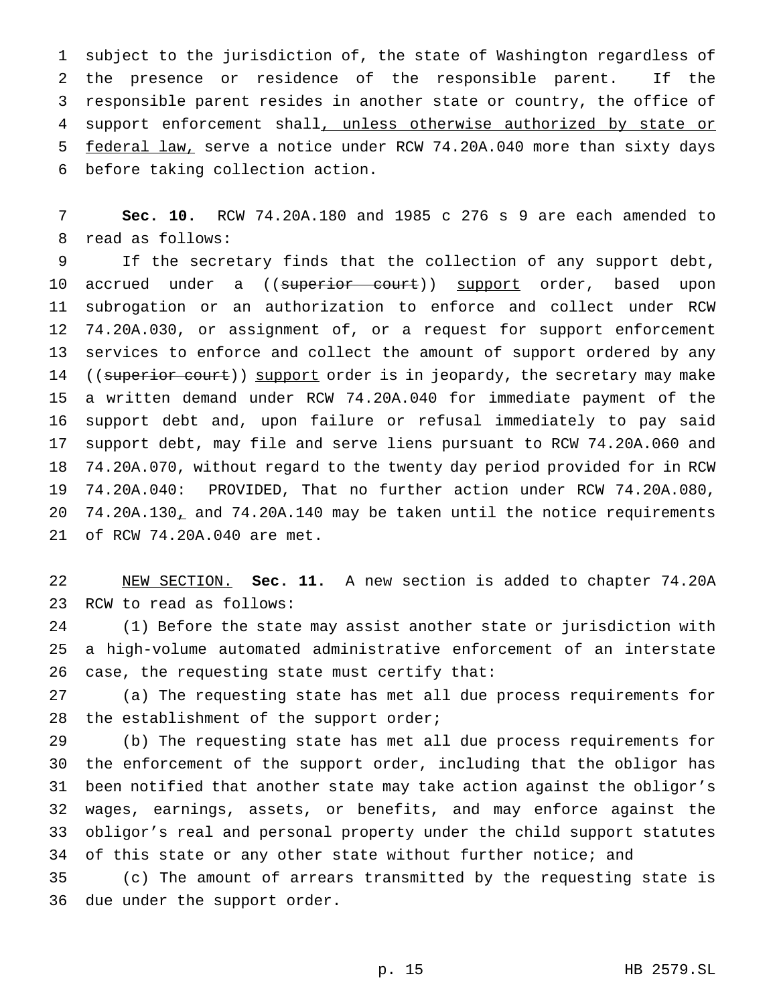subject to the jurisdiction of, the state of Washington regardless of the presence or residence of the responsible parent. If the responsible parent resides in another state or country, the office of 4 support enforcement shall, unless otherwise authorized by state or federal law, serve a notice under RCW 74.20A.040 more than sixty days before taking collection action.

 **Sec. 10.** RCW 74.20A.180 and 1985 c 276 s 9 are each amended to read as follows:

 If the secretary finds that the collection of any support debt, 10 accrued under a ((<del>superior court</del>)) support order, based upon subrogation or an authorization to enforce and collect under RCW 74.20A.030, or assignment of, or a request for support enforcement services to enforce and collect the amount of support ordered by any 14 ((superior court)) support order is in jeopardy, the secretary may make a written demand under RCW 74.20A.040 for immediate payment of the support debt and, upon failure or refusal immediately to pay said support debt, may file and serve liens pursuant to RCW 74.20A.060 and 74.20A.070, without regard to the twenty day period provided for in RCW 74.20A.040: PROVIDED, That no further action under RCW 74.20A.080, 74.20A.130, and 74.20A.140 may be taken until the notice requirements of RCW 74.20A.040 are met.

 NEW SECTION. **Sec. 11.** A new section is added to chapter 74.20A RCW to read as follows:

 (1) Before the state may assist another state or jurisdiction with a high-volume automated administrative enforcement of an interstate case, the requesting state must certify that:

 (a) The requesting state has met all due process requirements for 28 the establishment of the support order;

 (b) The requesting state has met all due process requirements for the enforcement of the support order, including that the obligor has been notified that another state may take action against the obligor's wages, earnings, assets, or benefits, and may enforce against the obligor's real and personal property under the child support statutes 34 of this state or any other state without further notice; and

 (c) The amount of arrears transmitted by the requesting state is due under the support order.